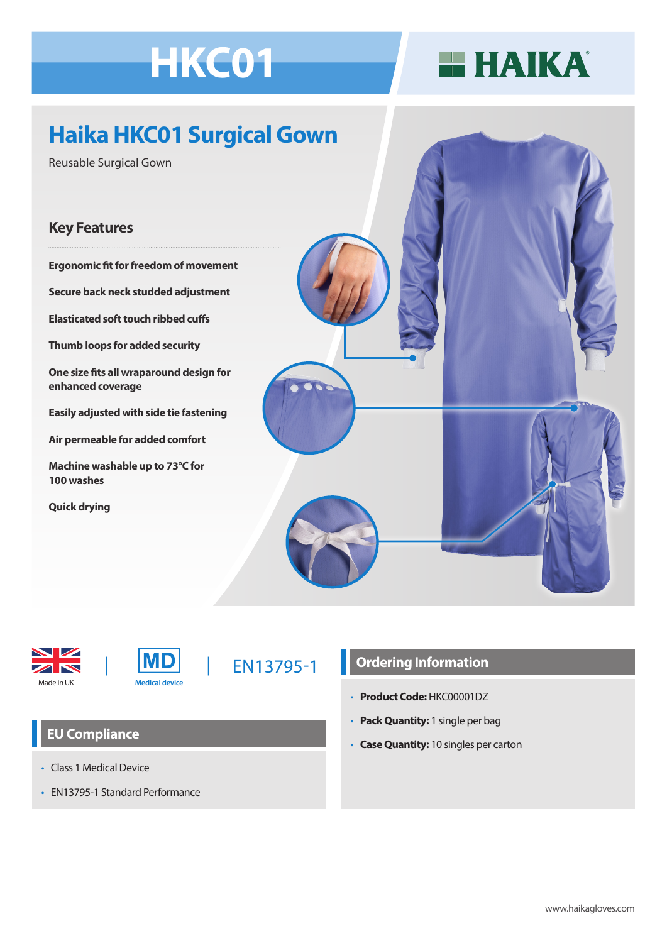## **HKC01**



## **Haika HKC01 Surgical Gown**

Reusable Surgical Gown

#### **Key Features**

**Ergonomic fit for freedom of movement**

**Secure back neck studded adjustment**

**Elasticated soft touch ribbed cuffs**

**Thumb loops for added security**

**One size fits all wraparound design for enhanced coverage**

**Easily adjusted with side tie fastening**

**Air permeable for added comfort**

**Machine washable up to 73°C for 100 washes**

**Quick drying**



## Made in UK



### | | EN13795-1

### **EU Compliance**

- Class 1 Medical Device
- EN13795-1 Standard Performance

#### **Ordering Information**

- **Product Code:** HKC00001DZ
- **Pack Quantity:** 1 single per bag
- **Case Quantity:** 10 singles per carton